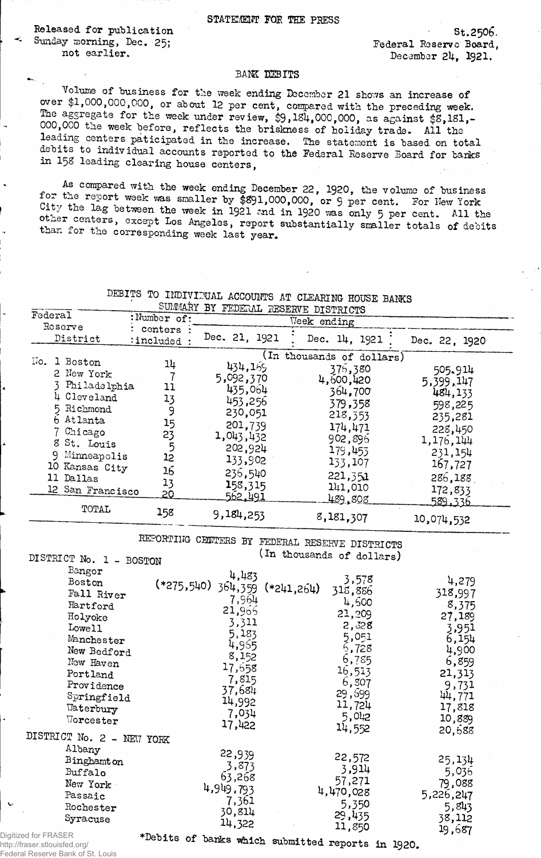**STATEMENT FOE THE PRESS**

**Released for publication** St.2506. Sunday morning, Dec. 25;<br>
not earlier.<br> **Sunday morning, Dec. 25;**<br>  $\frac{1}{2}$  rederal Reserve Board,

December 24, 1921.

## BANK DEBITS

Volume of business for the week ending December 21 shows an increase of over \$1,000,000,000, or about 12 per cent, compared with the preceding week.<br>The aggregate for the week under review, \$9,184,000,000, as against \$8,181,-000,000 the week before, reflects the briskness of holiday trade. All the leading centers paticipated in the increase. The statement is based on total debits to individual accounts reported to the Federal Reserve Board for banks in 158 leading clearing house centers,

As compared with the week ending December 22, 1920, the volume of business for the report week was smaller by \$891,000,000, or 9 per cent. For Hew York City the lag between the week in 1921 and in 1920 was only 5 per cent. All the other centers, except Los Angeles, report substantially smaller totals of debits than for the corresponding week last year.

|  |  | JEBITS TO INDIVIDUAL ACCOUNTS AT CLEARING HOUSE BANKS |  |  |  |
|--|--|-------------------------------------------------------|--|--|--|
|  |  | SUMMARY BY FEDERAL RESERVE DISTRICTS                  |  |  |  |

| Federal<br>Reserve                                                                                                                                                                                  | :Number of:                                                          | -------<br>Week ending                                                                                                               |                                                                                                                                                                 |                                                                                                                                      |  |
|-----------------------------------------------------------------------------------------------------------------------------------------------------------------------------------------------------|----------------------------------------------------------------------|--------------------------------------------------------------------------------------------------------------------------------------|-----------------------------------------------------------------------------------------------------------------------------------------------------------------|--------------------------------------------------------------------------------------------------------------------------------------|--|
| District                                                                                                                                                                                            | centers :<br>:included:                                              | Dec. 21, 1921                                                                                                                        | Dec. 14, 1921                                                                                                                                                   | Dec. 22, 1920                                                                                                                        |  |
| No.<br>1 Boston<br>2 New York<br>Philadelphia<br>4 Cleveland<br>5 Richmond<br>6 Atlanta<br>7 Chicago<br>8 St. Louis<br>Minneapolis<br>9<br>10 Kansas City<br>11 Dallas<br>12 San Francisco<br>TOTAL | 14<br>11<br>13<br>9<br>15<br>23<br>5<br>12<br>16<br>13<br><u> 20</u> | 434,169<br>5,092,370<br>435,064<br>453,256<br>230,051<br>201,739<br>1,043,432<br>202,924<br>133,902<br>236,540<br>158,315<br>562,491 | (In thousands of dollars)<br>375,380<br>4,600,420<br>364,700<br>379,358<br>218,353<br>174,471<br>902,896<br>179,453<br>133,107<br>221,351<br>141,010<br>489.808 | 505.914<br>5,399,147<br>484,133<br>598,225<br>235,281<br>228,450<br>1,176,144<br>231,154<br>167,727<br>286,188<br>172,833<br>589,336 |  |
|                                                                                                                                                                                                     | 158                                                                  | 9,184,253                                                                                                                            | 8,181,307                                                                                                                                                       | 10,074,532                                                                                                                           |  |

**REPORTING CBUTERS BY FEDERAL RESERVE DISTRICTS** DISTRICT No. 1 - BOSTON **(In thousands of dollars)** 

| Bangor<br>Boston<br>Fall River<br>Hartford<br>Holyoke<br>Lowell<br>Manchester<br>New Bedford<br>New Haven<br>Portland<br>Providence<br>Springfield<br>Waterbury<br>$\texttt{Voreester}$<br>DISTRICT No. 2 - NEW YORK | 4,483<br>$(*275,540)$ 364,359 $(*241,264)$<br>7,964<br>21,965<br>3,311<br>5,183<br>4,955<br>8,152<br>17,558<br>7,815<br>37,684<br>14,992<br>7,034<br>17,422 | 3,578<br>318,886<br>4,500<br>21,209<br>2,328<br>5,051<br>6,728<br>6,785<br>16,513<br>6,507<br>29,599<br>11,724<br>5,042<br>14,552 | 4,279<br>318,997<br>8,375<br>27,189<br>3,951<br>6,154<br>4,900<br>6,859<br>21,313<br>9,731<br>44,771<br>17,818<br>10,889<br>20,688 |
|----------------------------------------------------------------------------------------------------------------------------------------------------------------------------------------------------------------------|-------------------------------------------------------------------------------------------------------------------------------------------------------------|-----------------------------------------------------------------------------------------------------------------------------------|------------------------------------------------------------------------------------------------------------------------------------|
| Albany<br><b>Binghamton</b><br>Buffalo<br>New York<br>Passaic<br>Rochester<br>Syracuse<br>$\mathbf{r}$ $\mathbf{r}$ $\mathbf{r}$ $\mathbf{r}$                                                                        | 22,939<br>3,873<br>63,268<br>4,949,793<br>7,361<br>30,814<br>14,322                                                                                         | 22,572<br>3,914<br>57,271<br>4,470,028<br>5,350<br>29,435<br>11,850                                                               | 25,134<br>5,036<br>79,088<br>5,226,247<br>5,843<br>38,112<br>19,687                                                                |

Digitized for FRASER http://fraser.stlouisfed.org/ Federal Reserve Bank of St. Louis

^Debits of banks which submitted reports in I92O.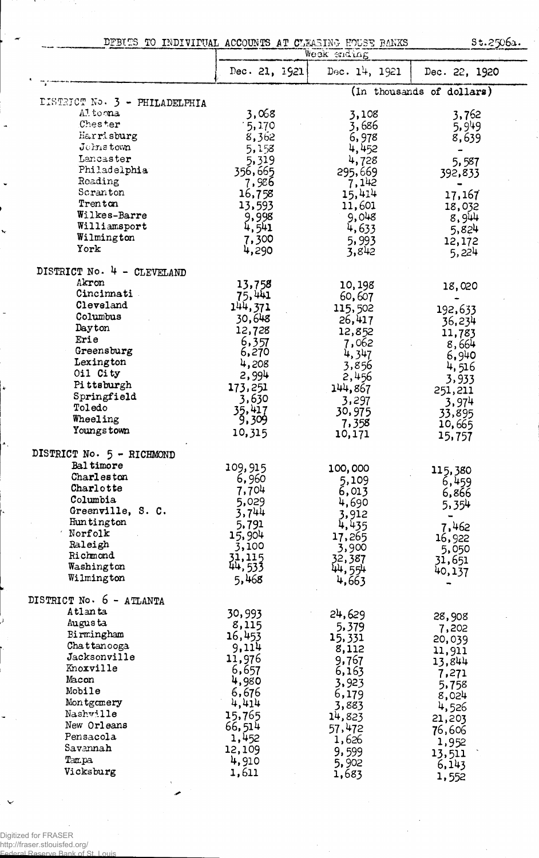$\frac{1}{2}$ **DEBITS TO INDIVIPUAL ACCOUNTS AT CLEASING BANKS**  $\frac{1}{2}$ **St.** 2506a.

|                               | MGGR GUGTUE     |                 |                           |  |
|-------------------------------|-----------------|-----------------|---------------------------|--|
|                               | Dec. 21, 1921   | Dec. $14, 1921$ | Dec. 22, 1920             |  |
|                               |                 |                 | (In thousands of dollars) |  |
| DISTRICT No. 3 - PHILADELPHIA |                 |                 |                           |  |
| Altoona                       | 3,068           | 3,108           | 3,762                     |  |
| Chester                       | 15,170          | 3,686           | 5,949                     |  |
| Harrisburg                    | 8,362           | 6,978           | 8,639                     |  |
| Johnstown                     | 5,158           | 4,452           | -                         |  |
| Lancaster                     | 5,319           | 4,728           | 5,587                     |  |
| Philadelphia                  | 356,665         | 295,669         | 392,833                   |  |
| Reading                       | 7,986           | 7,142           |                           |  |
| Scranton                      | 16,758          | 15,414          | 17,167                    |  |
| Trenton<br>Wilkes-Barre       | 13,593          | 11,601          | 18,032                    |  |
| Williamsport                  | 9,998           | 9,048           | 8,944                     |  |
| Wilmington                    | 4,541           | 4,633           | 5,824                     |  |
| York                          | 7,300           | 5,993           | 12,172                    |  |
|                               | 4,290           | 3,842           | 5,224                     |  |
| DISTRICT No. 4 - CLEVELAND    |                 |                 |                           |  |
| Akron                         | 13,758          | 10,198          | 18,020                    |  |
| Cincinnati                    | 75,441          | 60,607          |                           |  |
| Cleveland                     | 144,371         | 115,502         | 192,633                   |  |
| Columbus                      | 30,648          | 26,417          | 36,234                    |  |
| Dayton                        | 12,728          | 12,852          | 11,783                    |  |
| Erie                          | 6,357           | 7,062           | 8,664                     |  |
| Greensburg                    | 6,270           | 4,347           | 6,940                     |  |
| Lexington<br>Oil City         | 4,208           | 3,856           | 4,516                     |  |
| Pittsburgh                    | 2,994           | 2,456           | 3,933                     |  |
| Springfield                   | 173,251         | 144,867         | 251,211                   |  |
| Toledo                        | 3,630           | 3,297           | 3,974                     |  |
| Wheeling                      | 35,417<br>9,309 | 30,975          | 33,895                    |  |
| Youngs town                   | 10,315          | 7,358<br>10,171 | 10,665<br>15,757          |  |
| DISTRICT No. 5 - RICHMOND     |                 |                 |                           |  |
| Baltimore                     |                 |                 |                           |  |
| Charleston                    | 109,915         | 100,000         | 115,380                   |  |
| Charlotte                     | 6,960           | 5,109           | 6,459                     |  |
| Columbia                      | 7,704<br>5,029  | 6,013           | 6,866                     |  |
| Greenville, S. C.             | 3,744           | 4,690           | 5,354                     |  |
| Huntington                    | 5,791           | 3,912<br>4,435  |                           |  |
| Norfolk                       | 15,904          | 17,265          | 7,462                     |  |
| Raleigh                       | 3,100           | 3,900           | 16,922<br>5,050           |  |
| Richmond                      | 31,115          | 32,387          | 31,651                    |  |
| Washington                    | 44,533          | 44,554          | 40,137                    |  |
| Wilmington                    | 5,468           | 4,663           |                           |  |
| DISTRICT No. 6 - ATLANTA      |                 |                 |                           |  |
| Atlanta                       | 30,993          | 24,629          |                           |  |
| Augusta                       | 8,115           | 5,379           | 28,908                    |  |
| Birmingham                    | 16,453          | 15,331          | 7,202                     |  |
| Chattanooga                   | 9,114           | 8,112           | 20,039<br>11,911          |  |
| Jacksonville                  | 11,976          | 9,767           | 13,844                    |  |
| Knoxville                     | 6,657           | 6,163           | 7,271                     |  |
| Macon                         | 4,980           | 3,923           | 5,758                     |  |
| Mobile                        | 6,676           | 6,179           | 8,024                     |  |
| Montgomery                    | 4,414           | 3,883           | 4,526                     |  |
| Nashville                     | 15,765          | 14,823          | 21,203                    |  |
| New Orleans                   | 66,514          | 57,472          | 76,606                    |  |
| Pensacola                     | 1,452           | 1,626           | 1,952                     |  |
| Savannah                      | 12,109          | 9,599           | 13,511                    |  |
| Tampa                         | 4,910           | 5,902           | 6,143                     |  |
| Vicksburg                     | 1,611           | 1,683           | 1,552                     |  |
|                               |                 |                 |                           |  |

Digitized for FRASER http://fraser.stlouisfed.org/ Federal Reserve Bank of St. Louis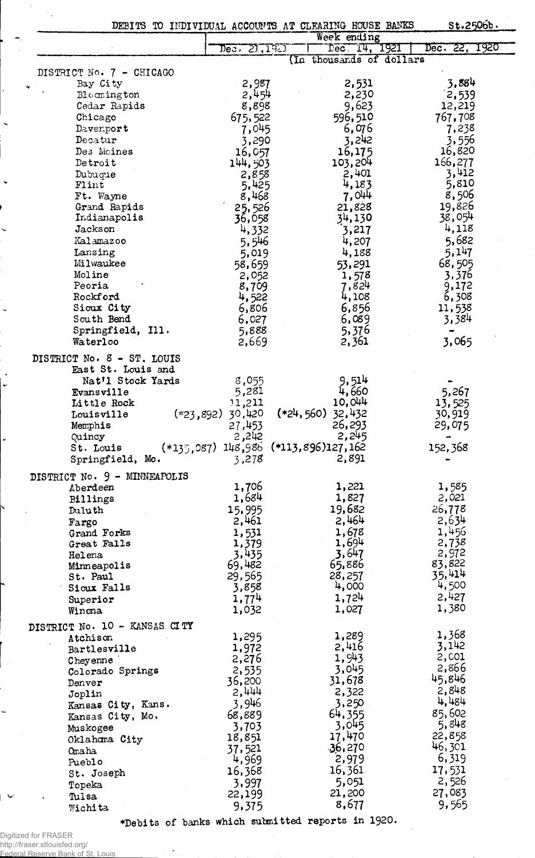|                                                  |                                           | DEBITS TO INDIVIDUAL ACCOUNTS AT CLEARING HOUSE BANKS | St.2506b.         |
|--------------------------------------------------|-------------------------------------------|-------------------------------------------------------|-------------------|
|                                                  |                                           | Week ending                                           |                   |
|                                                  | Dec. 21,1921                              | Dec 14, 1921                                          | Dec. 22, 1920     |
|                                                  |                                           | (In thousands of dollars                              |                   |
| DISTRICT No. 7 - CHICAGO                         |                                           |                                                       |                   |
| Bay City                                         | 2,987                                     | 2,531                                                 | 3,884             |
| Bloomington                                      | 2,454                                     | 2,230<br>9,623                                        | 2,539             |
| Cedar Rapids<br>Chicago                          | 8,898                                     | 596,510                                               | 12,219<br>767,708 |
| Davenport                                        | 675,522<br>7,045                          | 6,076                                                 | 7,238             |
| Decatur                                          | 3,290                                     | 3,242                                                 | 3,556             |
| Des Moines                                       | 16,057                                    | 16,175                                                | 16,820            |
| Detroit                                          | 144,503                                   | 103,204                                               | 166,277           |
| Dubuque                                          | 2,858                                     | 2,401                                                 | 3,412             |
| Flint                                            | 5,425                                     | 4,183                                                 | 5,810             |
| Ft. Wayne                                        | 8,468                                     | 7,044                                                 | 8,506             |
| Grand Rapids                                     | 25,526                                    | 21,828                                                | 19,826            |
| Indianapolis                                     | 36,058                                    | 34,130                                                | 38,054            |
| Jackson                                          | 4,332                                     | 3,217                                                 | 4,118             |
| Kalamazoo                                        | 5,546                                     | 4,207                                                 | 5,682             |
| Lansing                                          | 5,019                                     | 4,188                                                 | 5,147             |
| Milwaukee                                        | 58,659                                    | 53,291                                                | 68,505            |
| Moline                                           | 2,052                                     | 1,578                                                 | 3,376             |
| Peoria<br>Rockford                               | 8,709                                     | 7,824                                                 | 9,172             |
| Sioux City                                       | 4,522<br>6,806                            | 4,108<br>6,856                                        | 6,308<br>11,538   |
| South Bend                                       | 6,027                                     | 6,089                                                 | 3,384             |
| Springfield, Ill.                                | 5,888                                     | 5,376                                                 |                   |
| Waterloo                                         | 2,669                                     | 2,361                                                 | 3,065             |
|                                                  |                                           |                                                       |                   |
| DISTRICT No. 8 - ST. LOUIS<br>East St. Louis and |                                           |                                                       |                   |
| Nat'l Stock Yards                                | 8,055                                     | 9,514                                                 |                   |
| Evansville                                       | 5,281                                     | 4,660                                                 | 5,267             |
| Little Rock                                      | 11,211                                    | 10,044                                                | 13,525            |
| $(*23,892)$<br>Louisville                        | 30,420                                    | $(*24,560)$<br>32,432                                 | 30,919            |
| Memphis                                          | 27,453                                    | 26,293                                                | 29,075            |
| Quincy                                           | 2,242                                     | 2,245                                                 |                   |
| St. Louis                                        | $(*135,087)$ 148,986 $(*113,896)$ 127,162 |                                                       | 152,368           |
| Springfield, Mo.                                 | 3,278                                     | 2,891                                                 |                   |
| DISTRICT No. 9 - MINNEAPOLIS                     |                                           |                                                       |                   |
| Aberdeen                                         | 1,706                                     | 1,221                                                 | 1,585             |
| Billings                                         | 1,684                                     | 1,827                                                 | 2,021             |
| Duluth                                           | 15,995                                    | 19,682                                                | 26,778            |
| Fargo                                            | 2,461                                     | 2,464                                                 | 2,634             |
| Grand Forks                                      | 1,531                                     | 1,678                                                 | 1,456             |
| Great Falls                                      | 1,379                                     | 1,694                                                 | 2,738             |
| Helena                                           | 3,435                                     | 3,647                                                 | 2,972             |
| Minneapolis                                      | 69,482                                    | 65,886                                                | 83,822<br>35,414  |
| St. Paul<br>Sioux Falls                          | 29,565<br>3,858                           | 28,257<br>4,000                                       | 4,500             |
|                                                  | 1,774                                     | 1,724                                                 | 2,427             |
| Superior<br>Winona                               | 1,032                                     | 1,027                                                 | 1,380             |
|                                                  |                                           |                                                       |                   |
| DISTRICT No. 10 - KANSAS CITY                    | 1,295                                     | 1,289                                                 | 1,368             |
| Atchison<br>Bartlesville                         | 1,972                                     | 2,416                                                 | 3,142             |
| Cheyenne                                         | 2,276                                     | 1,943                                                 | 2,001             |
| Colorado Springs                                 | 2,535                                     | 3,045                                                 | 2,866             |
| Denver                                           | 36,200                                    | 31,678                                                | 45,846            |
| Joplin                                           | 2,444                                     | 2,322                                                 | 2,848             |
| Kansas City, Kans.                               | 3,946                                     | 3,250                                                 | 4,484             |
| Kansas City, Mo.                                 | 68,889                                    | 64,355                                                | 85,602            |
| Muskogee                                         | 3,703                                     | 3,045                                                 | 5,848             |
| Oklahoma City                                    | 18,851                                    | 17,470                                                | 22,858            |
| Omaha                                            | 37,521                                    | 36,270                                                | 46,301            |
| Pueblo                                           | 4,969                                     | 2,979                                                 | 6,319             |
| St. Joseph                                       | 16,368                                    | 16,361                                                | 17,531            |
| Topeka                                           | 3,997                                     | 5,051                                                 | 2,526             |
| Tulsa                                            | 22,199                                    | 21,200                                                | 27,083            |
| Wichita                                          | 9,375                                     | 8,677                                                 | 9,565             |

\*Debits of banks which submitted reports in 1920.

Digitized for FRASER<br>http://fraser.stlouisfed.org/<br>Federal Reserve Bank of St. Louis

 $\mathcal{L}$ 

 $\ddot{\phantom{0}}$ 

 $\ddot{\phantom{a}}$ 

 $\ddot{\phantom{1}}$ 

Ų

 $\ddot{\phantom{0}}$ 

 $\cdot$  $\ddot{\phantom{1}}$ 

 $\bar{\beta}$ 

 $\overline{a}$ 

 $\overline{\phantom{0}}$ 

 $\mathbb{Z}_2$